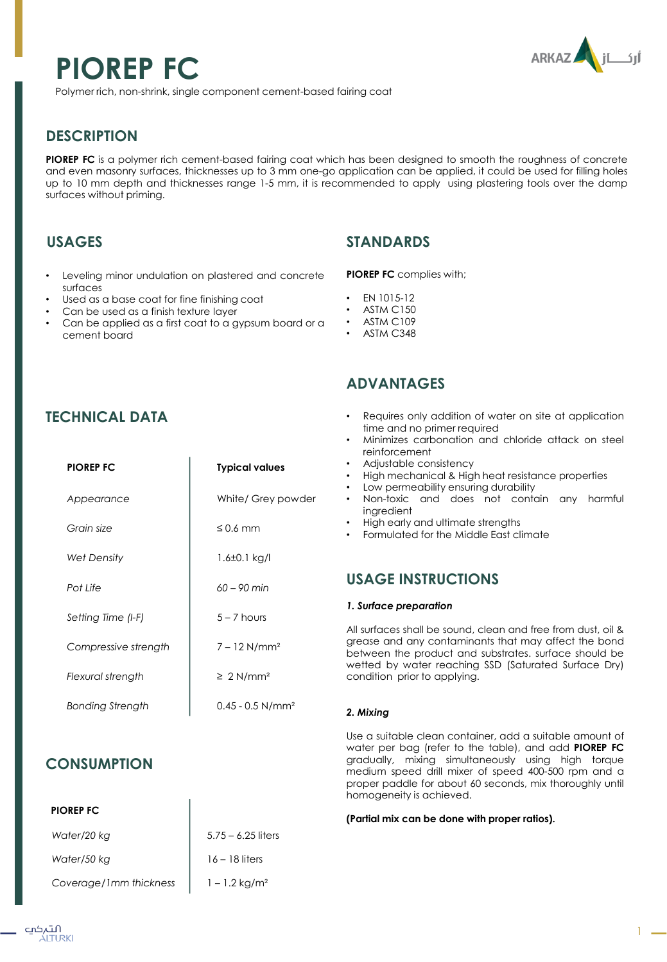# **PIOREP FC**



Polymer rich, non-shrink, single component cement-based fairing coat

## **DESCRIPTION**

**PIOREP FC** is a polymer rich cement-based fairing coat which has been designed to smooth the roughness of concrete and even masonry surfaces, thicknesses up to 3 mm one-go application can be applied, it could be used for filling holes up to 10 mm depth and thicknesses range 1-5 mm, it is recommended to apply using plastering tools over the damp surfaces without priming.

## **USAGES**

- Leveling minor undulation on plastered and concrete surfaces
- Used as a base coat for fine finishing coat
- Can be used as a finish texture layer
- Can be applied as a first coat to a gypsum board or a cement board

## **STANDARDS**

**PIOREP FC** complies with;

- EN 1015-12
- **ASTM C150**
- **ASTM C109**
- ASTM C348

# **TECHNICAL DATA**

| <b>PIOREP FC</b>     | <b>Typical values</b>          |
|----------------------|--------------------------------|
| Appearance           | White/ Grey powder             |
| Grain size           | $\leq$ 0.6 mm                  |
| Wet Density          | $1.6 \pm 0.1$ kg/l             |
| Pot Life             | $60 - 90$ min                  |
| Setting Time (I-F)   | $5 - 7$ hours                  |
| Compressive strength | $7 - 12$ N/mm <sup>2</sup>     |
| Flexural strength    | $\geq 2$ N/mm <sup>2</sup>     |
| Bonding Strength     | $0.45 - 0.5$ N/mm <sup>2</sup> |

## **CONSUMPTION**

## **PIOREP FC**

| Water/20 kg            | $5.75 - 6.25$ liters        |
|------------------------|-----------------------------|
| Water/50 kg            | $16 - 18$ liters            |
| Coverage/1mm thickness | $1 - 1.2$ kg/m <sup>2</sup> |

# **ADVANTAGES**

- Requires only addition of water on site at application time and no primer required
- Minimizes carbonation and chloride attack on steel reinforcement
- Adjustable consistency
- High mechanical & High heat resistance properties
- Low permeability ensuring durability
- Non-toxic and does not contain any harmful ingredient
- High early and ultimate strengths
- Formulated for the Middle East climate

## **USAGE INSTRUCTIONS**

#### *1. Surface preparation*

All surfaces shall be sound, clean and free from dust, oil & grease and any contaminants that may affect the bond between the product and substrates. surface should be wetted by water reaching SSD (Saturated Surface Dry) condition prior to applying.

## *2. Mixing*

Use a suitable clean container, add a suitable amount of water per bag (refer to the table), and add **PIOREP FC** gradually, mixing simultaneously using high torque medium speed drill mixer of speed 400-500 rpm and a proper paddle for about 60 seconds, mix thoroughly until homogeneity is achieved.

#### **(Partial mix can be done with proper ratios).**